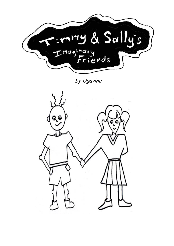

by Ugavine

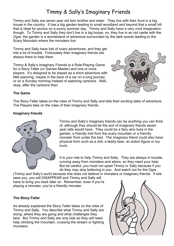# Timmy & Sally's Imaginary Friends

Timmy and Sally are seven year old twin brother and sister. They live with their Aunt in a big house in the country. It has a big garden leading to small woodland and beyond that a small hill that is ideal for picnics on a sunny summer day. Timmy and Sally have a very vivid imagination though. To Timmy and Sally they don't live in a big house, no, they live in an old castle with the Ogre, the garden is a wonderland of adventure surrounded by the dark woods leading to the Scary Mountain where the monsters live.

Timmy and Sally have lots of scary adventures, and they get into a lot of trouble. Fortunately their imaginary friends are always there to help them.

Timmy & Sally's Imaginary Friends is a Role-Playing Game for a Story-Teller (or Games Master) and one or more players. It's designed to be played as a short adventure with little planning, maybe in the back of a car on a long journey, or on a Sunday morning instead of watching cartoons. Well, okay, after the cartoons then.



# **The Game**

The Story-Teller takes on the roles of Timmy and Sally and tells their exciting tales of adventure. The Players take on the roles of their imaginary friends.

## **Imaginary friends**



Timmy and Sally's imaginary friends can be anything you can think of, although they should be the sort of imaginary friends seven year olds would have. They could be a fairy who lives in the garden, a friendly troll from the scary mountain or a friendly monster from under the bed. The imaginary friend could also have physical form such as a doll, a teddy bear, an action figure or toy truck.

It is your role to help Timmy and Sally. They are always in trouble, running away from monsters and aliens, so they need your help. But be careful, you must not upset Timmy or Sally because if you do they may stop believing in you. And watch out for the Ogre

(Timmy and Sally's aunt) because she does not believe in monsters or imaginary friends. If she sees you, you will DISAPPEAR and Timmy and Sally will have to bring you back later on. Remember, even if you're playing a monster, you're a friendly monster.

## **The Story-Teller**

As already explained the Story-Teller takes on the roles of Timmy and Sally. You describe what Timmy and Sally are doing, where they are going and what challenges they face. But Timmy and Sally are only kids so they will need help climbing the mountain, crossing the stream or fighting monsters.

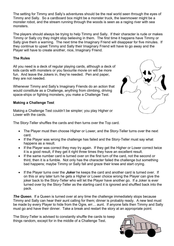The setting for Timmy and Sally's adventures should be the real world seen through the eyes of Timmy and Sally. So a cardboard box might be a monster truck, the lawnmower might be a monster robot, and the stream running through the woods is seen as a raging river with sea monsters.

The players should always be trying to help Timmy and Sally. If their character is rude or makes Timmy or Sally cry they might stop believing in them. The first time it happens have Timmy or Sally give them a warning. The next time the Imaginary Friend will disappear for five minutes. If they continue to upset Timmy and Sally their Imaginary Friend will have to go away and the Player will have to create another, nice, Imaginary Friend.

## **The Rules**

All you need is a deck of regular playing cards, although a deck of kids cards with monsters or you favourite movie on will be more fun. And leave the Jokers in, they're needed. Pen and paper, they are not needed.

Whenever Timmy and Sally's Imaginary Friends do an action that would constitute as a Challenge, anything from climbing, driving space-ships or fighting monsters, you make a Challenge Test.

# **Making a Challenge Test**

Making a Challenge Test couldn't be simpler; you play Higher or Lower with the cards.

The Story-Teller shuffles the cards and then turns over the Top card.

- The Player must then choose Higher or Lower, and the Story-Teller turns over the next card.
- If the Player was wrong the challenge has failed and the Story-Teller must say what happens as a result.
- If the Player was correct they may try again. If they get the Higher or Lower correct twice it is a good result, if they get it right three times they have an excellent result.
- If the same number card is turned over on the first turn of the card, not the second or third, then it is a fumble. Not only has the character failed the challenge but something bad happens; maybe Timmy or Sally fall and graze their knee and start crying.
- If the Player turns over the *Joker* he keeps the card and another card is turned over. If on this or any later turn he gets a Higher or Lower choice wrong the Player can give the joker back to the Story-Teller who will let the Player have another go. If a Joker is ever turned over by the Story-Teller as the starting card it is ignored and shuffled back into the pack.

**The Queen**. If a Queen is turned over at any time the challenge immediately stops because Timmy and Sally can hear their aunt calling for them; dinner is probably ready. A new test must be made by every Player to hide from the Ogre, err… aunt. If anyone fails then Timmy and Sally must go and have their dinner. Take a break and restart the story at an appropriate point.

The Story-Teller is advised to constantly shuffle the cards to keep things random, except for in the middle of a Challenge Test.